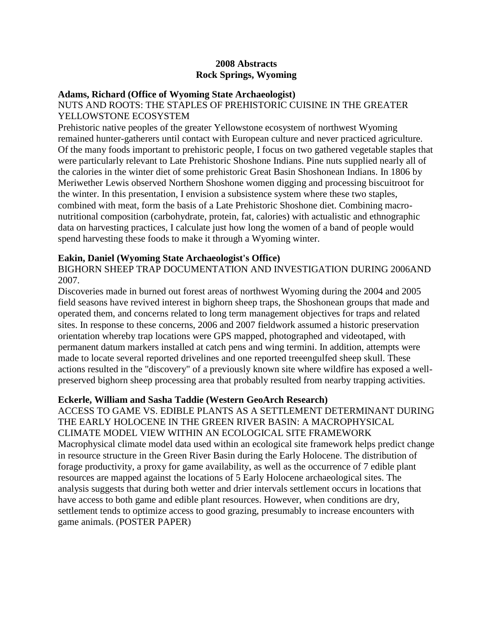### **2008 Abstracts Rock Springs, Wyoming**

#### **Adams, Richard (Office of Wyoming State Archaeologist)**

#### NUTS AND ROOTS: THE STAPLES OF PREHISTORIC CUISINE IN THE GREATER YELLOWSTONE ECOSYSTEM

Prehistoric native peoples of the greater Yellowstone ecosystem of northwest Wyoming remained hunter-gatherers until contact with European culture and never practiced agriculture. Of the many foods important to prehistoric people, I focus on two gathered vegetable staples that were particularly relevant to Late Prehistoric Shoshone Indians. Pine nuts supplied nearly all of the calories in the winter diet of some prehistoric Great Basin Shoshonean Indians. In 1806 by Meriwether Lewis observed Northern Shoshone women digging and processing biscuitroot for the winter. In this presentation, I envision a subsistence system where these two staples, combined with meat, form the basis of a Late Prehistoric Shoshone diet. Combining macronutritional composition (carbohydrate, protein, fat, calories) with actualistic and ethnographic data on harvesting practices, I calculate just how long the women of a band of people would spend harvesting these foods to make it through a Wyoming winter.

#### **Eakin, Daniel (Wyoming State Archaeologist's Office)**

BIGHORN SHEEP TRAP DOCUMENTATION AND INVESTIGATION DURING 2006AND 2007.

Discoveries made in burned out forest areas of northwest Wyoming during the 2004 and 2005 field seasons have revived interest in bighorn sheep traps, the Shoshonean groups that made and operated them, and concerns related to long term management objectives for traps and related sites. In response to these concerns, 2006 and 2007 fieldwork assumed a historic preservation orientation whereby trap locations were GPS mapped, photographed and videotaped, with permanent datum markers installed at catch pens and wing termini. In addition, attempts were made to locate several reported drivelines and one reported treeengulfed sheep skull. These actions resulted in the "discovery" of a previously known site where wildfire has exposed a wellpreserved bighorn sheep processing area that probably resulted from nearby trapping activities.

#### **Eckerle, William and Sasha Taddie (Western GeoArch Research)**

ACCESS TO GAME VS. EDIBLE PLANTS AS A SETTLEMENT DETERMINANT DURING THE EARLY HOLOCENE IN THE GREEN RIVER BASIN: A MACROPHYSICAL CLIMATE MODEL VIEW WITHIN AN ECOLOGICAL SITE FRAMEWORK Macrophysical climate model data used within an ecological site framework helps predict change in resource structure in the Green River Basin during the Early Holocene. The distribution of forage productivity, a proxy for game availability, as well as the occurrence of 7 edible plant resources are mapped against the locations of 5 Early Holocene archaeological sites. The analysis suggests that during both wetter and drier intervals settlement occurs in locations that have access to both game and edible plant resources. However, when conditions are dry, settlement tends to optimize access to good grazing, presumably to increase encounters with game animals. (POSTER PAPER)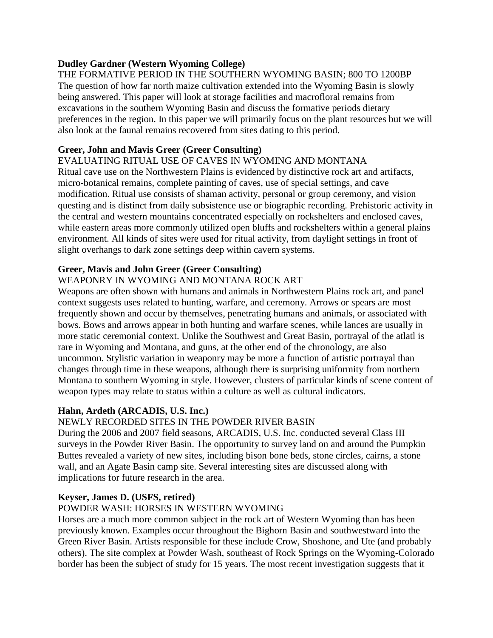## **Dudley Gardner (Western Wyoming College)**

THE FORMATIVE PERIOD IN THE SOUTHERN WYOMING BASIN; 800 TO 1200BP The question of how far north maize cultivation extended into the Wyoming Basin is slowly being answered. This paper will look at storage facilities and macrofloral remains from excavations in the southern Wyoming Basin and discuss the formative periods dietary preferences in the region. In this paper we will primarily focus on the plant resources but we will also look at the faunal remains recovered from sites dating to this period.

#### **Greer, John and Mavis Greer (Greer Consulting)**

#### EVALUATING RITUAL USE OF CAVES IN WYOMING AND MONTANA

Ritual cave use on the Northwestern Plains is evidenced by distinctive rock art and artifacts, micro-botanical remains, complete painting of caves, use of special settings, and cave modification. Ritual use consists of shaman activity, personal or group ceremony, and vision questing and is distinct from daily subsistence use or biographic recording. Prehistoric activity in the central and western mountains concentrated especially on rockshelters and enclosed caves, while eastern areas more commonly utilized open bluffs and rockshelters within a general plains environment. All kinds of sites were used for ritual activity, from daylight settings in front of slight overhangs to dark zone settings deep within cavern systems.

## **Greer, Mavis and John Greer (Greer Consulting)**

## WEAPONRY IN WYOMING AND MONTANA ROCK ART

Weapons are often shown with humans and animals in Northwestern Plains rock art, and panel context suggests uses related to hunting, warfare, and ceremony. Arrows or spears are most frequently shown and occur by themselves, penetrating humans and animals, or associated with bows. Bows and arrows appear in both hunting and warfare scenes, while lances are usually in more static ceremonial context. Unlike the Southwest and Great Basin, portrayal of the atlatl is rare in Wyoming and Montana, and guns, at the other end of the chronology, are also uncommon. Stylistic variation in weaponry may be more a function of artistic portrayal than changes through time in these weapons, although there is surprising uniformity from northern Montana to southern Wyoming in style. However, clusters of particular kinds of scene content of weapon types may relate to status within a culture as well as cultural indicators.

## **Hahn, Ardeth (ARCADIS, U.S. Inc.)**

## NEWLY RECORDED SITES IN THE POWDER RIVER BASIN

During the 2006 and 2007 field seasons, ARCADIS, U.S. Inc. conducted several Class III surveys in the Powder River Basin. The opportunity to survey land on and around the Pumpkin Buttes revealed a variety of new sites, including bison bone beds, stone circles, cairns, a stone wall, and an Agate Basin camp site. Several interesting sites are discussed along with implications for future research in the area.

## **Keyser, James D. (USFS, retired)**

## POWDER WASH: HORSES IN WESTERN WYOMING

Horses are a much more common subject in the rock art of Western Wyoming than has been previously known. Examples occur throughout the Bighorn Basin and southwestward into the Green River Basin. Artists responsible for these include Crow, Shoshone, and Ute (and probably others). The site complex at Powder Wash, southeast of Rock Springs on the Wyoming-Colorado border has been the subject of study for 15 years. The most recent investigation suggests that it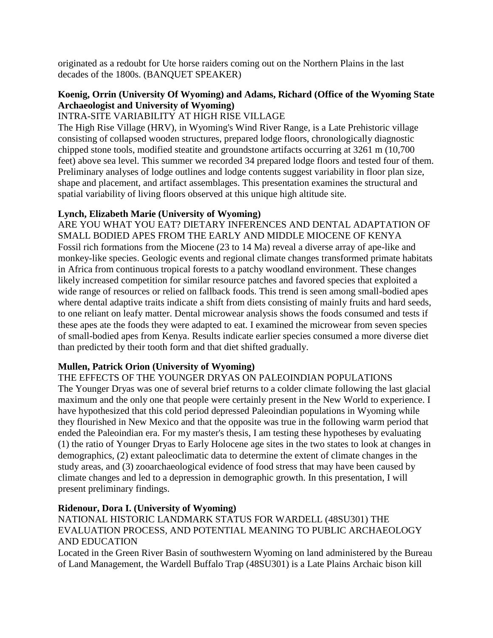originated as a redoubt for Ute horse raiders coming out on the Northern Plains in the last decades of the 1800s. (BANQUET SPEAKER)

# **Koenig, Orrin (University Of Wyoming) and Adams, Richard (Office of the Wyoming State Archaeologist and University of Wyoming)**

# INTRA-SITE VARIABILITY AT HIGH RISE VILLAGE

The High Rise Village (HRV), in Wyoming's Wind River Range, is a Late Prehistoric village consisting of collapsed wooden structures, prepared lodge floors, chronologically diagnostic chipped stone tools, modified steatite and groundstone artifacts occurring at 3261 m (10,700 feet) above sea level. This summer we recorded 34 prepared lodge floors and tested four of them. Preliminary analyses of lodge outlines and lodge contents suggest variability in floor plan size, shape and placement, and artifact assemblages. This presentation examines the structural and spatial variability of living floors observed at this unique high altitude site.

### **Lynch, Elizabeth Marie (University of Wyoming)**

ARE YOU WHAT YOU EAT? DIETARY INFERENCES AND DENTAL ADAPTATION OF SMALL BODIED APES FROM THE EARLY AND MIDDLE MIOCENE OF KENYA Fossil rich formations from the Miocene (23 to 14 Ma) reveal a diverse array of ape-like and monkey-like species. Geologic events and regional climate changes transformed primate habitats in Africa from continuous tropical forests to a patchy woodland environment. These changes likely increased competition for similar resource patches and favored species that exploited a wide range of resources or relied on fallback foods. This trend is seen among small-bodied apes where dental adaptive traits indicate a shift from diets consisting of mainly fruits and hard seeds, to one reliant on leafy matter. Dental microwear analysis shows the foods consumed and tests if these apes ate the foods they were adapted to eat. I examined the microwear from seven species of small-bodied apes from Kenya. Results indicate earlier species consumed a more diverse diet than predicted by their tooth form and that diet shifted gradually.

## **Mullen, Patrick Orion (University of Wyoming)**

#### THE EFFECTS OF THE YOUNGER DRYAS ON PALEOINDIAN POPULATIONS

The Younger Dryas was one of several brief returns to a colder climate following the last glacial maximum and the only one that people were certainly present in the New World to experience. I have hypothesized that this cold period depressed Paleoindian populations in Wyoming while they flourished in New Mexico and that the opposite was true in the following warm period that ended the Paleoindian era. For my master's thesis, I am testing these hypotheses by evaluating (1) the ratio of Younger Dryas to Early Holocene age sites in the two states to look at changes in demographics, (2) extant paleoclimatic data to determine the extent of climate changes in the study areas, and (3) zooarchaeological evidence of food stress that may have been caused by climate changes and led to a depression in demographic growth. In this presentation, I will present preliminary findings.

#### **Ridenour, Dora I. (University of Wyoming)**

NATIONAL HISTORIC LANDMARK STATUS FOR WARDELL (48SU301) THE EVALUATION PROCESS, AND POTENTIAL MEANING TO PUBLIC ARCHAEOLOGY AND EDUCATION

Located in the Green River Basin of southwestern Wyoming on land administered by the Bureau of Land Management, the Wardell Buffalo Trap (48SU301) is a Late Plains Archaic bison kill